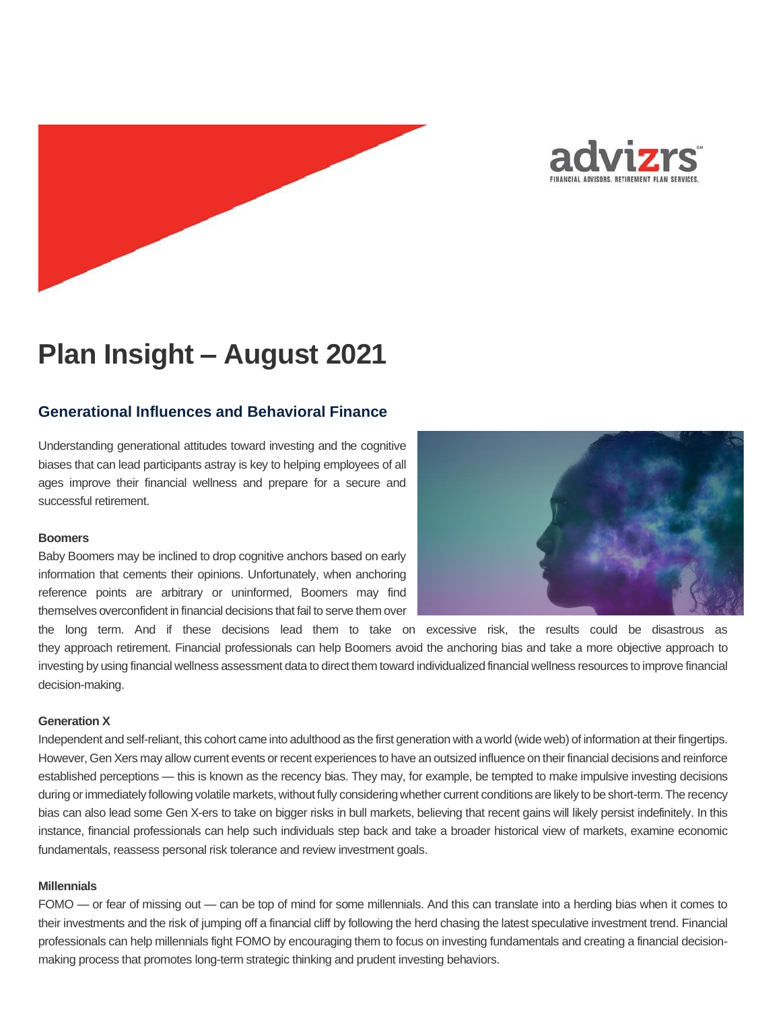



# **Plan Insight – August 2021**

## **Generational Influences and Behavioral Finance**

Understanding generational attitudes toward investing and the cognitive biases that can lead participants astray is key to helping employees of all ages improve their financial wellness and prepare for a secure and successful retirement.

### **Boomers**

Baby Boomers may be inclined to drop cognitive anchors based on early information that cements their opinions. Unfortunately, when anchoring reference points are arbitrary or uninformed, Boomers may find themselves overconfident in financial decisions that fail to serve them over



the long term. And if these decisions lead them to take on excessive risk, the results could be disastrous as they approach retirement. Financial professionals can help Boomers avoid the anchoring bias and take a more objective approach to investing by using financial wellness assessment data to direct them toward individualized financial wellness resources to improve financial decision-making.

### **Generation X**

Independent and self-reliant, this cohort came into adulthood as the first generation with a world (wide web) of information at their fingertips. However, Gen Xers may allow current events or recent experiences to have an outsized influence on their financial decisions and reinforce established perceptions — this is known as the recency bias. They may, for example, be tempted to make impulsive investing decisions during or immediately following volatile markets, without fully considering whether current conditions are likely to be short-term. The recency bias can also lead some Gen X-ers to take on bigger risks in bull markets, believing that recent gains will likely persist indefinitely. In this instance, financial professionals can help such individuals step back and take a broader historical view of markets, examine economic fundamentals, reassess personal risk tolerance and review investment goals.

### **Millennials**

FOMO — or fear of missing out — can be top of mind for some millennials. And this can translate into a herding bias when it comes to their investments and the risk of jumping off a financial cliff by following the herd chasing the latest speculative investment trend. Financial professionals can help millennials fight FOMO by encouraging them to focus on investing fundamentals and creating a financial decisionmaking process that promotes long-term strategic thinking and prudent investing behaviors.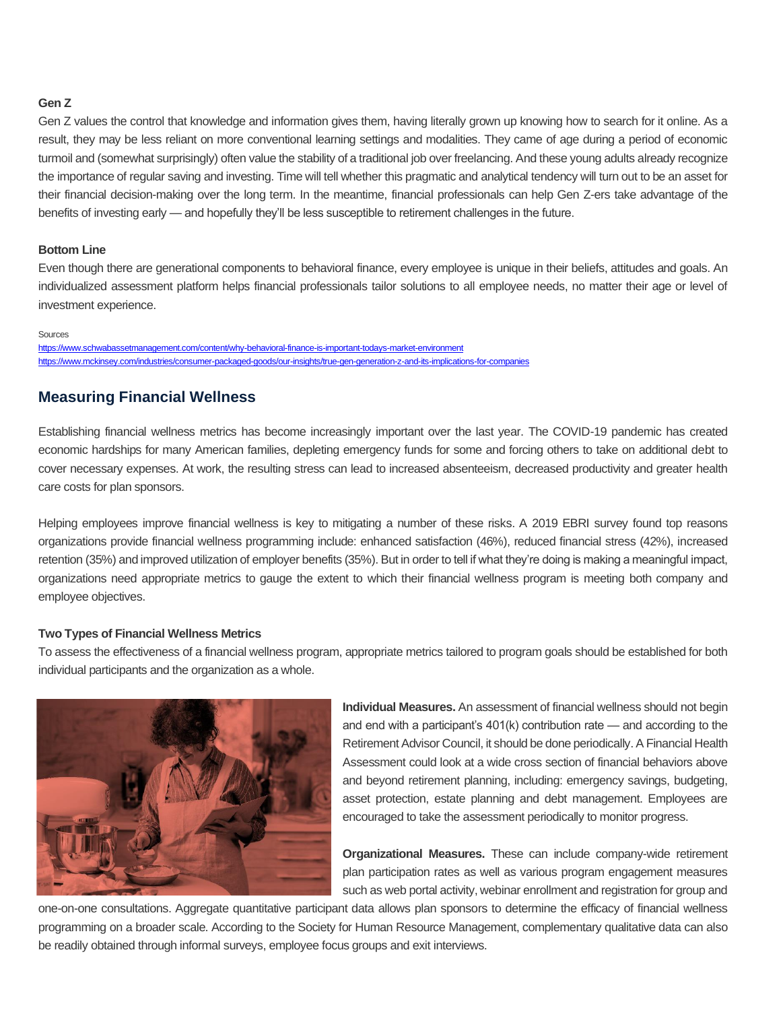## **Gen Z**

Gen Z values the control that knowledge and information gives them, having literally grown up knowing how to search for it online. As a result, they may be less reliant on more conventional learning settings and modalities. They came of age during a period of economic turmoil and (somewhat surprisingly) often value the stability of a traditional job over freelancing. And these young adults already recognize the importance of regular saving and investing. Time will tell whether this pragmatic and analytical tendency will turn out to be an asset for their financial decision-making over the long term. In the meantime, financial professionals can help Gen Z-ers take advantage of the benefits of investing early — and hopefully they'll be less susceptible to retirement challenges in the future.

## **Bottom Line**

Even though there are generational components to behavioral finance, every employee is unique in their beliefs, attitudes and goals. An individualized assessment platform helps financial professionals tailor solutions to all employee needs, no matter their age or level of investment experience.

#### Sources

<https://www.schwabassetmanagement.com/content/why-behavioral-finance-is-important-todays-market-environment> <https://www.mckinsey.com/industries/consumer-packaged-goods/our-insights/true-gen-generation-z-and-its-implications-for-companies>

## **Measuring Financial Wellness**

Establishing financial wellness metrics has become increasingly important over the last year. The COVID-19 pandemic has created economic hardships for many American families, depleting emergency funds for some and forcing others to take on additional debt to cover necessary expenses. At work, the resulting stress can lead to increased absenteeism, decreased productivity and greater health care costs for plan sponsors.

Helping employees improve financial wellness is key to mitigating a number of these risks. A 2019 EBRI survey found top reasons organizations provide financial wellness programming include: enhanced satisfaction (46%), reduced financial stress (42%), increased retention (35%) and improved utilization of employer benefits (35%). But in order to tell if what they're doing is making a meaningful impact, organizations need appropriate metrics to gauge the extent to which their financial wellness program is meeting both company and employee objectives.

## **Two Types of Financial Wellness Metrics**

To assess the effectiveness of a financial wellness program, appropriate metrics tailored to program goals should be established for both individual participants and the organization as a whole.



**Individual Measures.** An assessment of financial wellness should not begin and end with a participant's 401(k) contribution rate — and according to the Retirement Advisor Council, it should be done periodically. A Financial Health Assessment could look at a wide cross section of financial behaviors above and beyond retirement planning, including: emergency savings, budgeting, asset protection, estate planning and debt management. Employees are encouraged to take the assessment periodically to monitor progress.

**Organizational Measures.** These can include company-wide retirement plan participation rates as well as various program engagement measures such as web portal activity, webinar enrollment and registration for group and

one-on-one consultations. Aggregate quantitative participant data allows plan sponsors to determine the efficacy of financial wellness programming on a broader scale. According to the Society for Human Resource Management, complementary qualitative data can also be readily obtained through informal surveys, employee focus groups and exit interviews.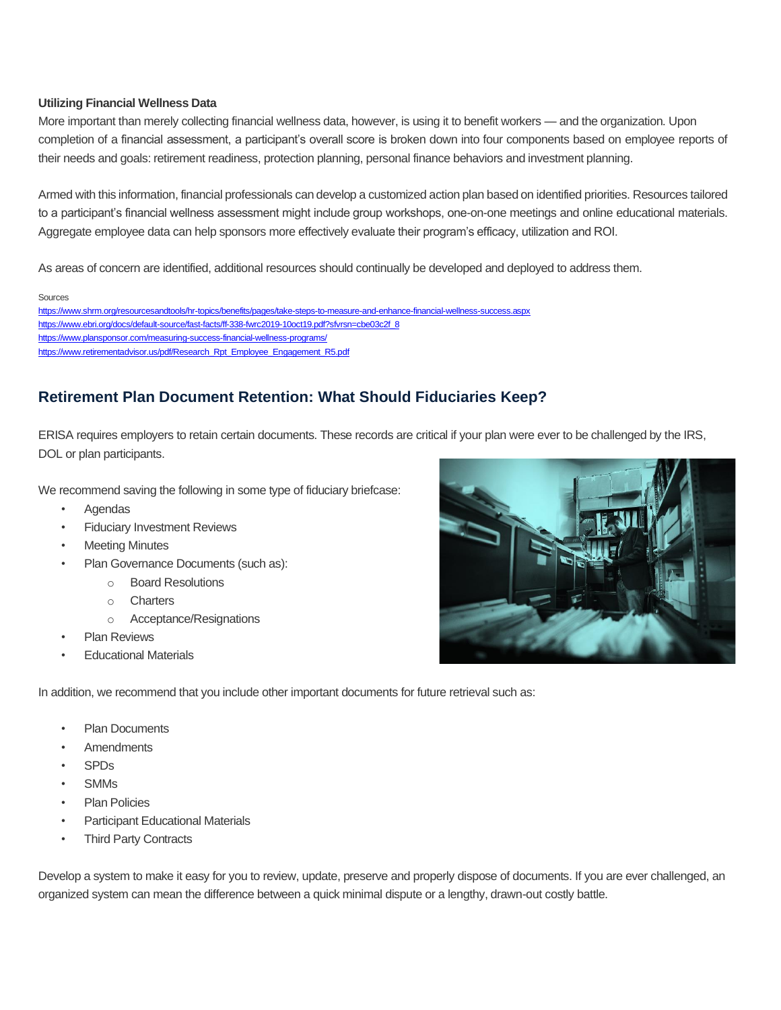## **Utilizing Financial Wellness Data**

More important than merely collecting financial wellness data, however, is using it to benefit workers — and the organization. Upon completion of a financial assessment, a participant's overall score is broken down into four components based on employee reports of their needs and goals: retirement readiness, protection planning, personal finance behaviors and investment planning.

Armed with this information, financial professionals can develop a customized action plan based on identified priorities. Resources tailored to a participant's financial wellness assessment might include group workshops, one-on-one meetings and online educational materials. Aggregate employee data can help sponsors more effectively evaluate their program's efficacy, utilization and ROI.

As areas of concern are identified, additional resources should continually be developed and deployed to address them.

Sources

<https://www.shrm.org/resourcesandtools/hr-topics/benefits/pages/take-steps-to-measure-and-enhance-financial-wellness-success.aspx> [https://www.ebri.org/docs/default-source/fast-facts/ff-338-fwrc2019-10oct19.pdf?sfvrsn=cbe03c2f\\_8](https://www.ebri.org/docs/default-source/fast-facts/ff-338-fwrc2019-10oct19.pdf?sfvrsn=cbe03c2f_8) <https://www.plansponsor.com/measuring-success-financial-wellness-programs/> [https://www.retirementadvisor.us/pdf/Research\\_Rpt\\_Employee\\_Engagement\\_R5.pdf](https://www.retirementadvisor.us/pdf/Research_Rpt_Employee_Engagement_R5.pdf)

# **Retirement Plan Document Retention: What Should Fiduciaries Keep?**

ERISA requires employers to retain certain documents. These records are critical if your plan were ever to be challenged by the IRS, DOL or plan participants.

We recommend saving the following in some type of fiduciary briefcase:

- Agendas
- **Fiduciary Investment Reviews**
- **Meeting Minutes**
- Plan Governance Documents (such as):
	- o Board Resolutions
	- o Charters
	- o Acceptance/Resignations
- **Plan Reviews**
- **Educational Materials**

In addition, we recommend that you include other important documents for future retrieval such as:

- Plan Documents
- **Amendments**
- SPDs
- SMMs
- Plan Policies
- Participant Educational Materials
- **Third Party Contracts**

Develop a system to make it easy for you to review, update, preserve and properly dispose of documents. If you are ever challenged, an organized system can mean the difference between a quick minimal dispute or a lengthy, drawn-out costly battle.